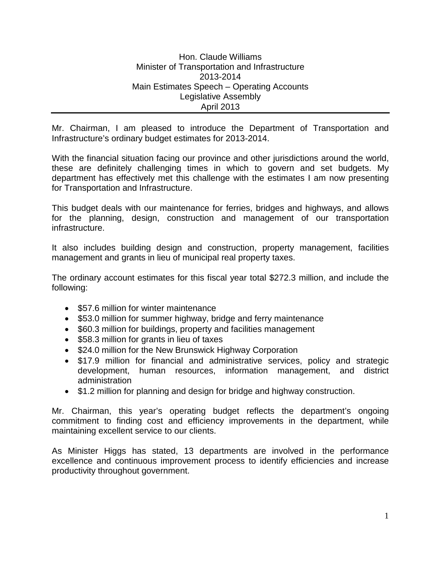Hon. Claude Williams Minister of Transportation and Infrastructure 2013-2014 Main Estimates Speech – Operating Accounts Legislative Assembly April 2013

Mr. Chairman, I am pleased to introduce the Department of Transportation and Infrastructure's ordinary budget estimates for 2013-2014.

With the financial situation facing our province and other jurisdictions around the world, these are definitely challenging times in which to govern and set budgets. My department has effectively met this challenge with the estimates I am now presenting for Transportation and Infrastructure.

This budget deals with our maintenance for ferries, bridges and highways, and allows for the planning, design, construction and management of our transportation infrastructure.

It also includes building design and construction, property management, facilities management and grants in lieu of municipal real property taxes.

The ordinary account estimates for this fiscal year total \$272.3 million, and include the following:

- \$57.6 million for winter maintenance
- \$53.0 million for summer highway, bridge and ferry maintenance
- \$60.3 million for buildings, property and facilities management
- \$58.3 million for grants in lieu of taxes
- \$24.0 million for the New Brunswick Highway Corporation
- \$17.9 million for financial and administrative services, policy and strategic development, human resources, information management, and district administration
- \$1.2 million for planning and design for bridge and highway construction.

Mr. Chairman, this year's operating budget reflects the department's ongoing commitment to finding cost and efficiency improvements in the department, while maintaining excellent service to our clients.

As Minister Higgs has stated, 13 departments are involved in the performance excellence and continuous improvement process to identify efficiencies and increase productivity throughout government.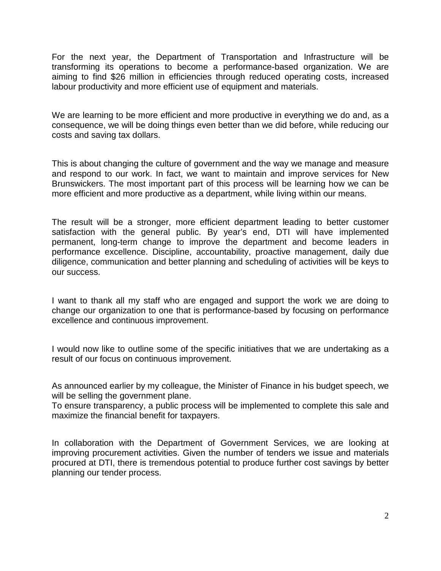For the next year, the Department of Transportation and Infrastructure will be transforming its operations to become a performance-based organization. We are aiming to find \$26 million in efficiencies through reduced operating costs, increased labour productivity and more efficient use of equipment and materials.

We are learning to be more efficient and more productive in everything we do and, as a consequence, we will be doing things even better than we did before, while reducing our costs and saving tax dollars.

This is about changing the culture of government and the way we manage and measure and respond to our work. In fact, we want to maintain and improve services for New Brunswickers. The most important part of this process will be learning how we can be more efficient and more productive as a department, while living within our means.

The result will be a stronger, more efficient department leading to better customer satisfaction with the general public. By year's end, DTI will have implemented permanent, long-term change to improve the department and become leaders in performance excellence. Discipline, accountability, proactive management, daily due diligence, communication and better planning and scheduling of activities will be keys to our success.

I want to thank all my staff who are engaged and support the work we are doing to change our organization to one that is performance-based by focusing on performance excellence and continuous improvement.

I would now like to outline some of the specific initiatives that we are undertaking as a result of our focus on continuous improvement.

As announced earlier by my colleague, the Minister of Finance in his budget speech, we will be selling the government plane.

To ensure transparency, a public process will be implemented to complete this sale and maximize the financial benefit for taxpayers.

In collaboration with the Department of Government Services, we are looking at improving procurement activities. Given the number of tenders we issue and materials procured at DTI, there is tremendous potential to produce further cost savings by better planning our tender process.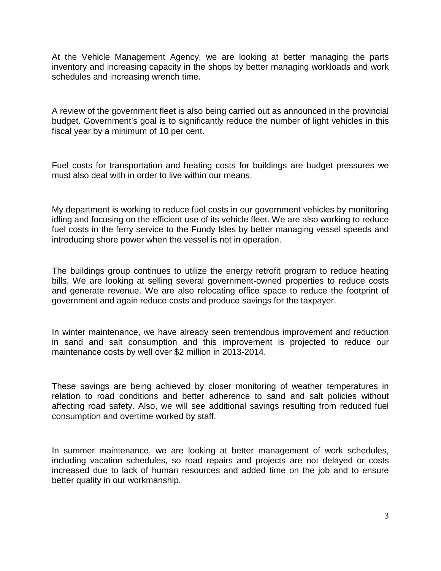At the Vehicle Management Agency, we are looking at better managing the parts inventory and increasing capacity in the shops by better managing workloads and work schedules and increasing wrench time.

A review of the government fleet is also being carried out as announced in the provincial budget. Government's goal is to significantly reduce the number of light vehicles in this fiscal year by a minimum of 10 per cent.

Fuel costs for transportation and heating costs for buildings are budget pressures we must also deal with in order to live within our means.

My department is working to reduce fuel costs in our government vehicles by monitoring idling and focusing on the efficient use of its vehicle fleet. We are also working to reduce fuel costs in the ferry service to the Fundy Isles by better managing vessel speeds and introducing shore power when the vessel is not in operation.

The buildings group continues to utilize the energy retrofit program to reduce heating bills. We are looking at selling several government-owned properties to reduce costs and generate revenue. We are also relocating office space to reduce the footprint of government and again reduce costs and produce savings for the taxpayer.

In winter maintenance, we have already seen tremendous improvement and reduction in sand and salt consumption and this improvement is projected to reduce our maintenance costs by well over \$2 million in 2013-2014.

These savings are being achieved by closer monitoring of weather temperatures in relation to road conditions and better adherence to sand and salt policies without affecting road safety. Also, we will see additional savings resulting from reduced fuel consumption and overtime worked by staff.

In summer maintenance, we are looking at better management of work schedules, including vacation schedules, so road repairs and projects are not delayed or costs increased due to lack of human resources and added time on the job and to ensure better quality in our workmanship.